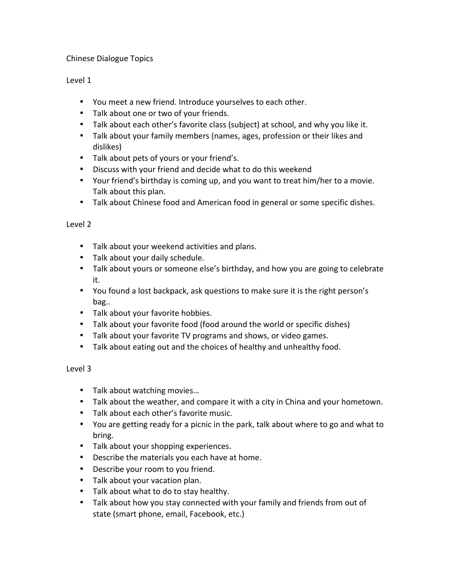## Chinese Dialogue Topics

## Level 1

- You meet a new friend. Introduce yourselves to each other.
- Talk about one or two of your friends.
- Talk about each other's favorite class (subject) at school, and why you like it.
- Talk about your family members (names, ages, profession or their likes and dislikes)
- Talk about pets of yours or your friend's.
- Discuss with your friend and decide what to do this weekend
- Your friend's birthday is coming up, and you want to treat him/her to a movie. Talk about this plan.
- Talk about Chinese food and American food in general or some specific dishes.

## Level 2

- Talk about your weekend activities and plans.
- Talk about your daily schedule.
- Talk about yours or someone else's birthday, and how you are going to celebrate it.
- You found a lost backpack, ask questions to make sure it is the right person's bag..
- Talk about your favorite hobbies.
- Talk about your favorite food (food around the world or specific dishes)
- Talk about your favorite TV programs and shows, or video games.
- Talk about eating out and the choices of healthy and unhealthy food.

## Level 3

- Talk about watching movies...
- Talk about the weather, and compare it with a city in China and your hometown.
- Talk about each other's favorite music.
- You are getting ready for a picnic in the park, talk about where to go and what to bring.
- Talk about your shopping experiences.
- Describe the materials you each have at home.
- Describe your room to you friend.
- Talk about your vacation plan.
- Talk about what to do to stay healthy.
- Talk about how you stay connected with your family and friends from out of state (smart phone, email, Facebook, etc.)